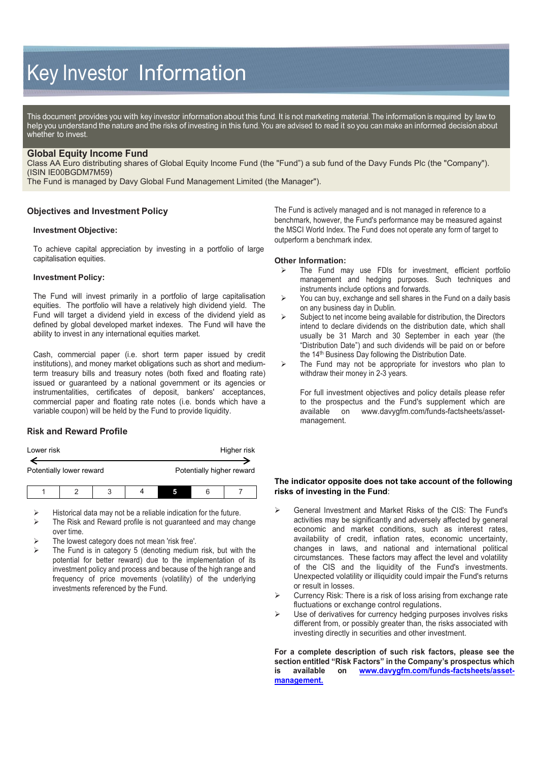# Key Investor Information

This document provides you with key investor information about this fund. It is not marketing material. The information is required by law to help you understand the nature and the risks of investing in this fund. You are advised to read it so you can make an informed decision about whether to invest.

## **Global Equity Income Fund**

Class AA Euro distributing shares of Global Equity Income Fund (the "Fund") a sub fund of the Davy Funds Plc (the "Company"). (ISIN IE00BGDM7M59)

The Fund is managed by Davy Global Fund Management Limited (the Manager").

## **Objectives and Investment Policy**

#### **Investment Objective:**

To achieve capital appreciation by investing in a portfolio of large capitalisation equities.

#### **Investment Policy:**

The Fund will invest primarily in a portfolio of large capitalisation equities. The portfolio will have a relatively high dividend yield. The Fund will target a dividend yield in excess of the dividend yield as defined by global developed market indexes. The Fund will have the ability to invest in any international equities market.

Cash, commercial paper (i.e. short term paper issued by credit institutions), and money market obligations such as short and mediumterm treasury bills and treasury notes (both fixed and floating rate) issued or guaranteed by a national government or its agencies or instrumentalities, certificates of deposit, bankers' acceptances, commercial paper and floating rate notes (i.e. bonds which have a variable coupon) will be held by the Fund to provide liquidity.

# **Risk and Reward Profile**

| Lower risk               |  |   |  | Higher risk               |   |  |
|--------------------------|--|---|--|---------------------------|---|--|
| Potentially lower reward |  |   |  | Potentially higher reward |   |  |
|                          |  | 2 |  |                           | 6 |  |

Historical data may not be a reliable indication for the future.

- The Risk and Reward profile is not guaranteed and may change over time.
- The lowest category does not mean 'risk free'.
- The Fund is in category 5 (denoting medium risk, but with the potential for better reward) due to the implementation of its investment policy and process and because of the high range and frequency of price movements (volatility) of the underlying investments referenced by the Fund.

The Fund is actively managed and is not managed in reference to a benchmark, however, the Fund's performance may be measured against the MSCI World Index. The Fund does not operate any form of target to outperform a benchmark index.

#### **Other Information:**

- The Fund may use FDIs for investment, efficient portfolio management and hedging purposes. Such techniques and instruments include options and forwards.
- $\triangleright$  You can buy, exchange and sell shares in the Fund on a daily basis on any business day in Dublin.
- $\triangleright$  Subject to net income being available for distribution, the Directors intend to declare dividends on the distribution date, which shall usually be 31 March and 30 September in each year (the "Distribution Date") and such dividends will be paid on or before the 14<sup>th</sup> Business Day following the Distribution Date.
- $\triangleright$  The Fund may not be appropriate for investors who plan to withdraw their money in 2-3 years.

For full investment objectives and policy details please refer to the prospectus and the Fund's supplement which are available on www.davygfm.com/funds-factsheets/asset[www.davygfm.com/funds-factsheets/asset](http://www.davygfm.com/funds-factsheets/asset-management)[management.](http://www.davygfm.com/funds-factsheets/asset-management)

## **The indicator opposite does not take account of the following risks of investing in the Fund**:

- General Investment and Market Risks of the CIS: The Fund's activities may be significantly and adversely affected by general economic and market conditions, such as interest rates, availability of credit, inflation rates, economic uncertainty, changes in laws, and national and international political circumstances. These factors may affect the level and volatility of the CIS and the liquidity of the Fund's investments. Unexpected volatility or illiquidity could impair the Fund's returns or result in losses.
- $\triangleright$  Currency Risk: There is a risk of loss arising from exchange rate fluctuations or exchange control regulations.
- $\triangleright$  Use of derivatives for currency hedging purposes involves risks different from, or possibly greater than, the risks associated with investing directly in securities and other investment.

**For a complete description of such risk factors, please see the section entitled "Risk Factors" in the Company's prospectus which is available on [www.davygfm.com/funds-factsheets/asset](http://www.davygfm.com/funds-factsheets/asset-management)[management.](http://www.davygfm.com/funds-factsheets/asset-management)**